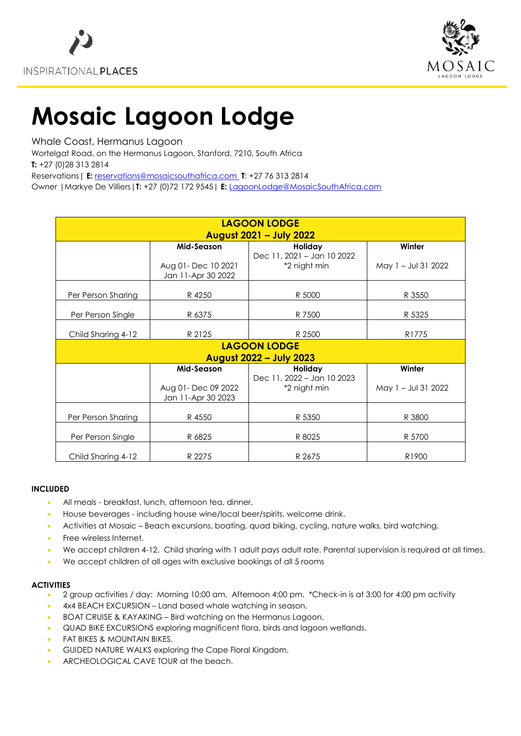



# **Mosaic Lagoon Lodge**

Whale Coast, Hermanus Lagoon

Wortelgat Road, on the Hermanus Lagoon, Stanford, 7210, South Africa **T:** +27 (0)28 313 2814

Reservations| **E:** [reservations@mosaicsouthafrica.com](mailto:reservations@mosaicsouthafrica.com) **T**: +27 76 313 2814

Owner |Markye De Villiers|**T:** +27 (0)72 172 9545| **E:** [LagoonLodge@MosaicSouthAfrica.com](mailto:LagoonLodge@MosaicSouthAfrica.com)

| <b>LAGOON LODGE</b>            |                     |                            |                     |
|--------------------------------|---------------------|----------------------------|---------------------|
| <b>August 2021 - July 2022</b> |                     |                            |                     |
|                                | Mid-Season          | Holiday                    | Winter              |
|                                |                     | Dec 11, 2021 - Jan 10 2022 |                     |
|                                | Aug 01- Dec 10 2021 | *2 night min               | May 1 - Jul 31 2022 |
|                                | Jan 11-Apr 30 2022  |                            |                     |
|                                |                     |                            |                     |
| Per Person Sharing             | R 4250              | R 5000                     | R 3550              |
|                                |                     |                            |                     |
| Per Person Single              | R 6375              | R 7500                     | R 5325              |
|                                |                     |                            |                     |
| Child Sharing 4-12             | R 2125              | R 2500                     | R <sub>1775</sub>   |
| <b>LAGOON LODGE</b>            |                     |                            |                     |
| <b>August 2022 - July 2023</b> |                     |                            |                     |
|                                | Mid-Season          | Holiday                    | Winter              |
|                                |                     | Dec 11, 2022 - Jan 10 2023 |                     |
|                                | Aug 01- Dec 09 2022 | *2 night min               | May 1 - Jul 31 2022 |
|                                | Jan 11-Apr 30 2023  |                            |                     |
|                                |                     |                            |                     |
| Per Person Sharing             | R 4550              | R 5350                     | R 3800              |
|                                |                     |                            |                     |
| Per Person Single              | R 6825              | R 8025                     | R 5700              |
|                                |                     |                            |                     |
| Child Sharing 4-12             | R 2275              | R 2675                     | R <sub>1900</sub>   |

#### **INCLUDED**

- All meals breakfast, lunch, afternoon tea, dinner.
- House beverages including house wine/local beer/spirits, welcome drink.
- Activities at Mosaic Beach excursions, boating, quad biking, cycling, nature walks, bird watching.
- Free wireless Internet.
- We accept children 4-12. Child sharing with 1 adult pays adult rate. Parental supervision is required at all times.
- We accept children of all ages with exclusive bookings of all 5 rooms

## **ACTIVITIES**

- 2 group activities / day: Morning 10:00 am. Afternoon 4:00 pm. \*Check-in is at 3:00 for 4:00 pm activity
- 4x4 BEACH EXCURSION Land based whale watching in season.
- BOAT CRUISE & KAYAKING Bird watching on the Hermanus Lagoon.
- QUAD BIKE EXCURSIONS exploring magnificent flora, birds and lagoon wetlands.
- FAT BIKES & MOUNTAIN BIKES.
- GUIDED NATURE WALKS exploring the Cape Floral Kingdom.
- ARCHEOLOGICAL CAVE TOUR at the beach.